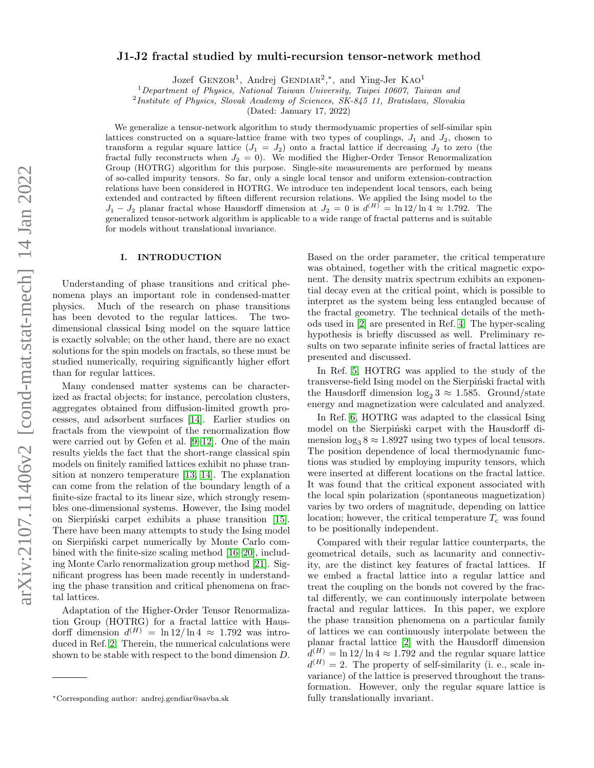## J1-J2 fractal studied by multi-recursion tensor-network method

Jozef GENZOR<sup>1</sup>, Andrej GENDIAR<sup>2</sup>,<sup>\*</sup>, and Ying-Jer KAO<sup>1</sup>

 $1$ Department of Physics, National Taiwan University, Taipei 10607, Taiwan and

<sup>2</sup>Institute of Physics, Slovak Academy of Sciences, SK-845 11, Bratislava, Slovakia

(Dated: January 17, 2022)

We generalize a tensor-network algorithm to study thermodynamic properties of self-similar spin lattices constructed on a square-lattice frame with two types of couplings,  $J_1$  and  $J_2$ , chosen to transform a regular square lattice  $(J_1 = J_2)$  onto a fractal lattice if decreasing  $J_2$  to zero (the fractal fully reconstructs when  $J_2 = 0$ . We modified the Higher-Order Tensor Renormalization Group (HOTRG) algorithm for this purpose. Single-site measurements are performed by means of so-called impurity tensors. So far, only a single local tensor and uniform extension-contraction relations have been considered in HOTRG. We introduce ten independent local tensors, each being extended and contracted by fifteen different recursion relations. We applied the Ising model to the  $J_1 - J_2$  planar fractal whose Hausdorff dimension at  $J_2 = 0$  is  $d^{(H)} = \ln 12 / \ln 4 \approx 1.792$ . The generalized tensor-network algorithm is applicable to a wide range of fractal patterns and is suitable for models without translational invariance.

#### I. INTRODUCTION

Understanding of phase transitions and critical phenomena plays an important role in condensed-matter physics. Much of the research on phase transitions has been devoted to the regular lattices. The twodimensional classical Ising model on the square lattice is exactly solvable; on the other hand, there are no exact solutions for the spin models on fractals, so these must be studied numerically, requiring significantly higher effort than for regular lattices.

Many condensed matter systems can be characterized as fractal objects; for instance, percolation clusters, aggregates obtained from diffusion-limited growth processes, and adsorbent surfaces [\[14\]](#page-8-0). Earlier studies on fractals from the viewpoint of the renormalization flow were carried out by Gefen et al. [\[9](#page-8-1)[–12\]](#page-8-2). One of the main results yields the fact that the short-range classical spin models on finitely ramified lattices exhibit no phase transition at nonzero temperature [\[13,](#page-8-3) [14\]](#page-8-0). The explanation can come from the relation of the boundary length of a finite-size fractal to its linear size, which strongly resembles one-dimensional systems. However, the Ising model on Sierpiński carpet exhibits a phase transition [\[15\]](#page-8-4). There have been many attempts to study the Ising model on Sierpiński carpet numerically by Monte Carlo combined with the finite-size scaling method [\[16–](#page-8-5)[20\]](#page-8-6), including Monte Carlo renormalization group method [\[21\]](#page-8-7). Significant progress has been made recently in understanding the phase transition and critical phenomena on fractal lattices.

Adaptation of the Higher-Order Tensor Renormalization Group (HOTRG) for a fractal lattice with Hausdorff dimension  $d^{(H)} = \ln 12 / \ln 4 \approx 1.792$  was introduced in Ref. [2.](#page-8-8) Therein, the numerical calculations were shown to be stable with respect to the bond dimension D.

Based on the order parameter, the critical temperature was obtained, together with the critical magnetic exponent. The density matrix spectrum exhibits an exponential decay even at the critical point, which is possible to interpret as the system being less entangled because of the fractal geometry. The technical details of the methods used in [\[2\]](#page-8-8) are presented in Ref. [4.](#page-8-9) The hyper-scaling hypothesis is briefly discussed as well. Preliminary results on two separate infinite series of fractal lattices are presented and discussed.

In Ref. [5,](#page-8-10) HOTRG was applied to the study of the transverse-field Ising model on the Sierpinski fractal with the Hausdorff dimension  $\log_2 3 \approx 1.585$ . Ground/state energy and magnetization were calculated and analyzed.

In Ref. [6,](#page-8-11) HOTRG was adapted to the classical Ising model on the Sierpinski carpet with the Hausdorff dimension  $\log_3 8 \approx 1.8927$  using two types of local tensors. The position dependence of local thermodynamic functions was studied by employing impurity tensors, which were inserted at different locations on the fractal lattice. It was found that the critical exponent associated with the local spin polarization (spontaneous magnetization) varies by two orders of magnitude, depending on lattice location; however, the critical temperature  $T_c$  was found to be positionally independent.

Compared with their regular lattice counterparts, the geometrical details, such as lacunarity and connectivity, are the distinct key features of fractal lattices. If we embed a fractal lattice into a regular lattice and treat the coupling on the bonds not covered by the fractal differently, we can continuously interpolate between fractal and regular lattices. In this paper, we explore the phase transition phenomena on a particular family of lattices we can continuously interpolate between the planar fractal lattice [\[2\]](#page-8-8) with the Hausdorff dimension  $d^{(H)} = \ln 12 / \ln 4 \approx 1.792$  and the regular square lattice  $d^{(H)} = 2$ . The property of self-similarity (i. e., scale invariance) of the lattice is preserved throughout the transformation. However, only the regular square lattice is fully translationally invariant.

<sup>∗</sup>Corresponding author: andrej.gendiar@savba.sk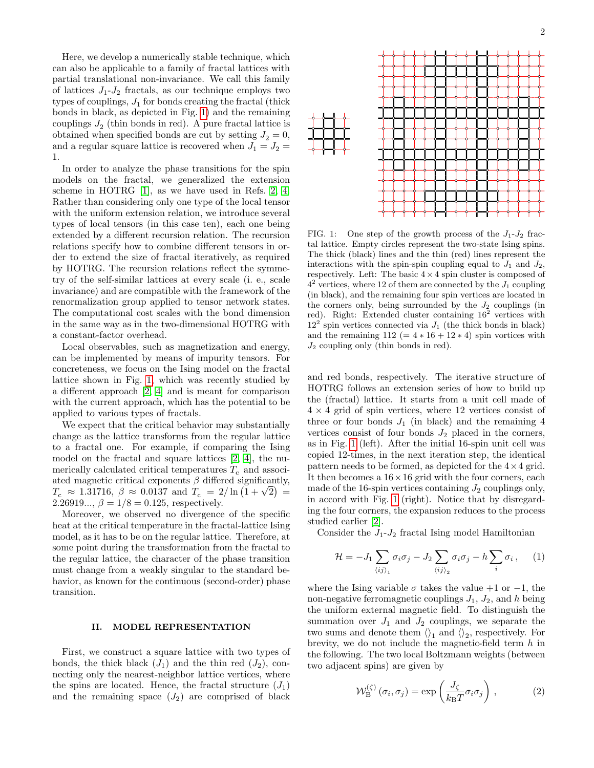Here, we develop a numerically stable technique, which can also be applicable to a family of fractal lattices with partial translational non-invariance. We call this family of lattices  $J_1-J_2$  fractals, as our technique employs two types of couplings,  $J_1$  for bonds creating the fractal (thick bonds in black, as depicted in Fig. [1\)](#page-1-0) and the remaining couplings  $J_2$  (thin bonds in red). A pure fractal lattice is obtained when specified bonds are cut by setting  $J_2 = 0$ , and a regular square lattice is recovered when  $J_1 = J_2 =$ 1.

In order to analyze the phase transitions for the spin models on the fractal, we generalized the extension scheme in HOTRG [\[1\]](#page-8-12), as we have used in Refs. [2,](#page-8-8) [4.](#page-8-9) Rather than considering only one type of the local tensor with the uniform extension relation, we introduce several types of local tensors (in this case ten), each one being extended by a different recursion relation. The recursion relations specify how to combine different tensors in order to extend the size of fractal iteratively, as required by HOTRG. The recursion relations reflect the symmetry of the self-similar lattices at every scale (i. e., scale invariance) and are compatible with the framework of the renormalization group applied to tensor network states. The computational cost scales with the bond dimension in the same way as in the two-dimensional HOTRG with a constant-factor overhead.

Local observables, such as magnetization and energy, can be implemented by means of impurity tensors. For concreteness, we focus on the Ising model on the fractal lattice shown in Fig. [1,](#page-1-0) which was recently studied by a different approach [\[2,](#page-8-8) [4\]](#page-8-9) and is meant for comparison with the current approach, which has the potential to be applied to various types of fractals.

We expect that the critical behavior may substantially change as the lattice transforms from the regular lattice to a fractal one. For example, if comparing the Ising model on the fractal and square lattices [\[2,](#page-8-8) [4\]](#page-8-9), the numerically calculated critical temperatures  $T_c$  and associated magnetic critical exponents  $\beta$  differed significantly, ated magnetic critical exponents  $\beta$  differed significantly,<br>  $T_{\rm c} \approx 1.31716, \ \beta \approx 0.0137 \ {\rm and} \ T_{\rm c} = 2/\ln(1+\sqrt{2}) =$ 2.26919...,  $\beta = 1/8 = 0.125$ , respectively.

Moreover, we observed no divergence of the specific heat at the critical temperature in the fractal-lattice Ising model, as it has to be on the regular lattice. Therefore, at some point during the transformation from the fractal to the regular lattice, the character of the phase transition must change from a weakly singular to the standard behavior, as known for the continuous (second-order) phase transition.

#### II. MODEL REPRESENTATION

First, we construct a square lattice with two types of bonds, the thick black  $(J_1)$  and the thin red  $(J_2)$ , connecting only the nearest-neighbor lattice vertices, where the spins are located. Hence, the fractal structure  $(J_1)$ and the remaining space  $(J_2)$  are comprised of black



<span id="page-1-0"></span>FIG. 1: One step of the growth process of the  $J_1-J_2$  fractal lattice. Empty circles represent the two-state Ising spins. The thick (black) lines and the thin (red) lines represent the interactions with the spin-spin coupling equal to  $J_1$  and  $J_2$ , respectively. Left: The basic  $4 \times 4$  spin cluster is composed of  $4<sup>2</sup>$  vertices, where 12 of them are connected by the  $J_1$  coupling (in black), and the remaining four spin vertices are located in the corners only, being surrounded by the  $J_2$  couplings (in red). Right: Extended cluster containing  $16^2$  vertices with  $12<sup>2</sup>$  spin vertices connected via  $J_1$  (the thick bonds in black) and the remaining  $112 (= 4 * 16 + 12 * 4)$  spin vortices with  $J_2$  coupling only (thin bonds in red).

and red bonds, respectively. The iterative structure of HOTRG follows an extension series of how to build up the (fractal) lattice. It starts from a unit cell made of  $4 \times 4$  grid of spin vertices, where 12 vertices consist of three or four bonds  $J_1$  (in black) and the remaining 4 vertices consist of four bonds  $J_2$  placed in the corners, as in Fig. [1](#page-1-0) (left). After the initial 16-spin unit cell was copied 12-times, in the next iteration step, the identical pattern needs to be formed, as depicted for the  $4 \times 4$  grid. It then becomes a  $16 \times 16$  grid with the four corners, each made of the 16-spin vertices containing  $J_2$  couplings only, in accord with Fig. [1](#page-1-0) (right). Notice that by disregarding the four corners, the expansion reduces to the process studied earlier [\[2\]](#page-8-8).

Consider the  $J_1-J_2$  fractal Ising model Hamiltonian

$$
\mathcal{H} = -J_1 \sum_{\langle ij \rangle_1} \sigma_i \sigma_j - J_2 \sum_{\langle ij \rangle_2} \sigma_i \sigma_j - h \sum_i \sigma_i, \quad (1)
$$

where the Ising variable  $\sigma$  takes the value +1 or −1, the non-negative ferromagnetic couplings  $J_1$ ,  $J_2$ , and h being the uniform external magnetic field. To distinguish the summation over  $J_1$  and  $J_2$  couplings, we separate the two sums and denote them  $\langle \rangle_1$  and  $\langle \rangle_2$ , respectively. For brevity, we do not include the magnetic-field term  $h$  in the following. The two local Boltzmann weights (between two adjacent spins) are given by

$$
\mathcal{W}_{\rm B}^{(\zeta)}\left(\sigma_i,\sigma_j\right) = \exp\left(\frac{J_{\zeta}}{k_{\rm B}T}\sigma_i\sigma_j\right),\tag{2}
$$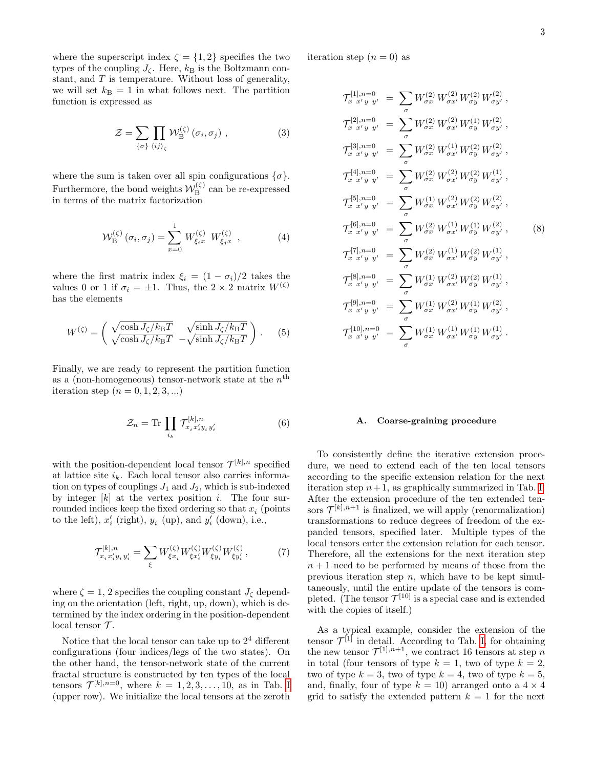where the superscript index  $\zeta = \{1, 2\}$  specifies the two types of the coupling  $J_{\zeta}$ . Here,  $k_{\text{B}}$  is the Boltzmann constant, and  $T$  is temperature. Without loss of generality, we will set  $k_B = 1$  in what follows next. The partition function is expressed as

$$
\mathcal{Z} = \sum_{\{\sigma\}} \prod_{\langle ij \rangle_{\zeta}} \mathcal{W}_{\mathrm{B}}^{(\zeta)}(\sigma_i, \sigma_j) , \qquad (3)
$$

where the sum is taken over all spin configurations  $\{\sigma\}.$ Furthermore, the bond weights  $\mathcal{W}_{\mathbf{R}}^{(\zeta)}$  $B^{(S)}$  can be re-expressed in terms of the matrix factorization

$$
\mathcal{W}_{\rm B}^{(\zeta)}\left(\sigma_i, \sigma_j\right) = \sum_{x=0}^{1} W_{\xi_i x}^{(\zeta)} W_{\xi_j x}^{(\zeta)}, \qquad (4)
$$

where the first matrix index  $\xi_i = (1 - \sigma_i)/2$  takes the values 0 or 1 if  $\sigma_i = \pm 1$ . Thus, the 2 × 2 matrix  $W^{(\zeta)}$ has the elements

$$
W^{(\zeta)} = \begin{pmatrix} \sqrt{\cosh J_{\zeta}/k_{\mathrm{B}}T} & \sqrt{\sinh J_{\zeta}/k_{\mathrm{B}}T} \\ \sqrt{\cosh J_{\zeta}/k_{\mathrm{B}}T} & -\sqrt{\sinh J_{\zeta}/k_{\mathrm{B}}T} \end{pmatrix} . \tag{5}
$$

Finally, we are ready to represent the partition function as a (non-homogeneous) tensor-network state at the  $n<sup>th</sup>$ iteration step  $(n = 0, 1, 2, 3, ...)$ 

$$
\mathcal{Z}_n = \text{Tr} \prod_{i_k} \mathcal{T}_{x_i x_i' y_i y_i'}^{[k], n} \tag{6}
$$

with the position-dependent local tensor  $\mathcal{T}^{[k],n}$  specified at lattice site  $i_k$ . Each local tensor also carries information on types of couplings  $J_1$  and  $J_2$ , which is sub-indexed by integer  $[k]$  at the vertex position i. The four surrounded indices keep the fixed ordering so that  $x_i$  (points to the left),  $x_i'$  (right),  $y_i$  (up), and  $y_i'$  (down), i.e.,

$$
\mathcal{T}_{x_i x'_i y_i y'_i}^{[k],n} = \sum_{\xi} W_{\xi x_i}^{(\zeta)} W_{\xi x'_i}^{(\zeta)} W_{\xi y_i}^{(\zeta)} W_{\xi y'_i}^{(\zeta)},\tag{7}
$$

where  $\zeta = 1$ , 2 specifies the coupling constant  $J_{\zeta}$  depending on the orientation (left, right, up, down), which is determined by the index ordering in the position-dependent local tensor  $\mathcal{T}$ .

Notice that the local tensor can take up to  $2<sup>4</sup>$  different configurations (four indices/legs of the two states). On the other hand, the tensor-network state of the current fractal structure is constructed by ten types of the local tensors  $\mathcal{T}^{[k],n=0}$ , where  $k = 1, 2, 3, \ldots, 10$ , as in Tab. [I](#page-3-0) (upper row). We initialize the local tensors at the zeroth iteration step  $(n = 0)$  as

<span id="page-2-0"></span>
$$
\mathcal{T}_{x}^{[1],n=0} = \sum_{\sigma} W_{\sigma x}^{(2)} W_{\sigma y}^{(2)} W_{\sigma y}^{(2)} W_{\sigma y}^{(2)},
$$
\n
$$
\mathcal{T}_{x}^{[2],n=0} = \sum_{\sigma} W_{\sigma x}^{(2)} W_{\sigma x}^{(2)} W_{\sigma y}^{(1)} W_{\sigma y}^{(2)},
$$
\n
$$
\mathcal{T}_{x}^{[3],n=0} = \sum_{\sigma} W_{\sigma x}^{(2)} W_{\sigma x}^{(1)} W_{\sigma y}^{(2)} W_{\sigma y}^{(2)},
$$
\n
$$
\mathcal{T}_{x}^{[4],n=0} = \sum_{\sigma} W_{\sigma x}^{(2)} W_{\sigma x}^{(1)} W_{\sigma y}^{(2)} W_{\sigma y}^{(2)},
$$
\n
$$
\mathcal{T}_{x}^{[4],n=0} = \sum_{\sigma} W_{\sigma x}^{(2)} W_{\sigma x}^{(2)} W_{\sigma y}^{(2)} W_{\sigma y}^{(2)},
$$
\n
$$
\mathcal{T}_{x}^{[5],n=0} = \sum_{\sigma} W_{\sigma x}^{(1)} W_{\sigma x}^{(2)} W_{\sigma y}^{(2)} W_{\sigma y}^{(2)},
$$
\n
$$
\mathcal{T}_{x}^{[6],n=0} = \sum_{\sigma} W_{\sigma x}^{(2)} W_{\sigma x}^{(1)} W_{\sigma y}^{(1)} W_{\sigma y}^{(2)},
$$
\n
$$
\mathcal{T}_{x}^{[7],n=0} = \sum_{\sigma} W_{\sigma x}^{(2)} W_{\sigma x}^{(1)} W_{\sigma y}^{(2)} W_{\sigma y}^{(1)},
$$
\n
$$
\mathcal{T}_{x}^{[8],n=0} = \sum_{\sigma} W_{\sigma x}^{(1)} W_{\sigma x}^{(2)} W_{\sigma y}^{(2)} W_{\sigma y}^{(1)},
$$
\n
$$
\mathcal{T}_{x}^{[9],n=0} = \sum_{\sigma} W_{\sigma x}^{(1)} W_{\sigma x}^{(2)} W_{\sigma y}^{(1)} W_{\sigma y}^{(2)},
$$
\n
$$
\mathcal{T}_{x}^{[10],n=0} = \sum_{\sigma} W_{\sigma x}^{(1)} W_{\sigma x}^{(1)} W_{\sigma y}^{
$$

#### A. Coarse-graining procedure

To consistently define the iterative extension procedure, we need to extend each of the ten local tensors according to the specific extension relation for the next iteration step  $n+1$ , as graphically summarized in Tab. [I.](#page-3-0) After the extension procedure of the ten extended tensors  $\mathcal{T}^{[k],n+1}$  is finalized, we will apply (renormalization) transformations to reduce degrees of freedom of the expanded tensors, specified later. Multiple types of the local tensors enter the extension relation for each tensor. Therefore, all the extensions for the next iteration step  $n+1$  need to be performed by means of those from the previous iteration step  $n$ , which have to be kept simultaneously, until the entire update of the tensors is completed. (The tensor  $\mathcal{T}^{[10]}$  is a special case and is extended with the copies of itself.)

As a typical example, consider the extension of the tensor  $\mathcal{T}^{[1]}$  in detail. According to Tab. [I,](#page-3-0) for obtaining the new tensor  $\mathcal{T}^{[1],n+1}$ , we contract 16 tensors at step n in total (four tensors of type  $k = 1$ , two of type  $k = 2$ , two of type  $k = 3$ , two of type  $k = 4$ , two of type  $k = 5$ , and, finally, four of type  $k = 10$ ) arranged onto a  $4 \times 4$ grid to satisfy the extended pattern  $k = 1$  for the next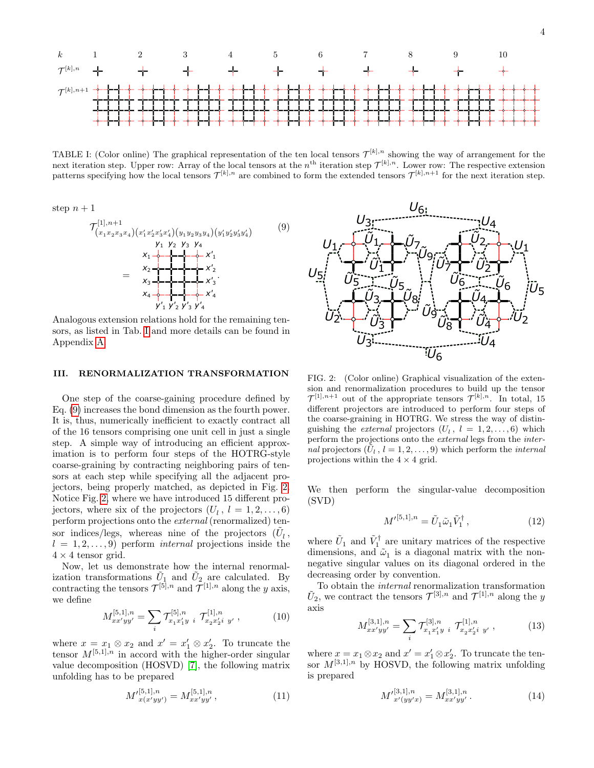

<span id="page-3-0"></span>TABLE I: (Color online) The graphical representation of the ten local tensors  $\mathcal{T}^{[k],n}$  showing the way of arrangement for the next iteration step. Upper row: Array of the local tensors at the  $n^{\text{th}}$  iteration step  $\mathcal{T}^{[k],n}$ . Lower row: The respective extension patterns specifying how the local tensors  $\mathcal{T}^{[k],n}$  are combined to form the extended tensors  $\mathcal{T}^{[k],n+1}$  for the next iteration step.

step  $n+1$ 

$$
\mathcal{T}_{(x_1x_2x_3x_4)(x'_1x'_2x'_3x'_4)(y_1y_2y_3y_4)(y'_1y'_2y'_3y'_4)}^{[1], n+1} \qquad (9)
$$
\n
$$
\begin{array}{rcl}\ny_1 & y_2 & y_3 & y_4 \\
x_1 & & y_1 & y_2 & y_3 \\
x_1 & & & y_1 & y_2 \\
x_2 & & & y_1 & y_1 \\
x_2 & & & y_1 & y_2 \\
x_3 & & & y_1 & y_2 & y_3\n\end{array}
$$
\n
$$
(9)
$$

Analogous extension relations hold for the remaining tensors, as listed in Tab. [I](#page-3-0) and more details can be found in Appendix [A.](#page-9-0)

## III. RENORMALIZATION TRANSFORMATION

One step of the coarse-gaining procedure defined by Eq. [\(9\)](#page-3-1) increases the bond dimension as the fourth power. It is, thus, numerically inefficient to exactly contract all of the 16 tensors comprising one unit cell in just a single step. A simple way of introducing an efficient approximation is to perform four steps of the HOTRG-style coarse-graining by contracting neighboring pairs of tensors at each step while specifying all the adjacent projectors, being properly matched, as depicted in Fig. [2.](#page-3-2) Notice Fig. [2,](#page-3-2) where we have introduced 15 different projectors, where six of the projectors  $(U_l, l = 1, 2, ..., 6)$ perform projections onto the external (renormalized) tensor indices/legs, whereas nine of the projectors  $(\tilde{U}_l^{},$  $l = 1, 2, \ldots, 9$ ) perform *internal* projections inside the  $4 \times 4$  tensor grid.

Now, let us demonstrate how the internal renormalization transformations  $\tilde{U}_1$  and  $\tilde{U}_2$  are calculated. By contracting the tensors  $\mathcal{T}^{[5],n}$  and  $\mathcal{T}^{[1],n}$  along the y axis, we define

$$
M_{xx'yy'}^{[5,1],n} = \sum_{i} \mathcal{T}_{x_1 x_1' y_i}^{[5],n} \mathcal{T}_{x_2 x_2' i}^{[1],n} y' \,, \tag{10}
$$

where  $x = x_1 \otimes x_2$  and  $x' = x'_1 \otimes x'_2$ . To truncate the tensor  $M^{[5,1],n}$  in accord with the higher-order singular value decomposition (HOSVD) [\[7\]](#page-8-13), the following matrix unfolding has to be prepared

<span id="page-3-3"></span>
$$
M'_{x(x'yy')}^{[5,1],n} = M_{xx'yy'}^{[5,1],n},\tag{11}
$$

<span id="page-3-1"></span>

<span id="page-3-2"></span>FIG. 2: (Color online) Graphical visualization of the extension and renormalization procedures to build up the tensor  $\mathcal{T}^{[1],n+1}$  out of the appropriate tensors  $\mathcal{T}^{[k],n}$ . In total, 15 different projectors are introduced to perform four steps of the coarse-graining in HOTRG. We stress the way of distinguishing the *external* projectors  $(U_l, l = 1, 2, ..., 6)$  which perform the projections onto the external legs from the internal projectors  $(\tilde{U}_l, l = 1, 2, \ldots, 9)$  which perform the *internal* projections within the  $4 \times 4$  grid.

We then perform the singular-value decomposition (SVD)

<span id="page-3-4"></span>
$$
M^{\prime[5,1],n} = \tilde{U}_1 \tilde{\omega}_1 \tilde{V}_1^{\dagger} , \qquad (12)
$$

where  $\tilde{U}_1$  and  $\tilde{V}_1^{\dagger}$  are unitary matrices of the respective dimensions, and  $\tilde{\omega}_1$  is a diagonal matrix with the nonnegative singular values on its diagonal ordered in the decreasing order by convention.

To obtain the internal renormalization transformation  $\tilde{U}_2$ , we contract the tensors  $\mathcal{T}^{[3],n}$  and  $\mathcal{T}^{[1],n}$  along the y axis

$$
M_{xx'yy'}^{[3,1],n} = \sum_{i} \mathcal{T}_{x_1 x_1' y}^{[3],n} \mathcal{T}_{x_2 x_2' i}^{[1],n} y' \,, \tag{13}
$$

where  $x = x_1 \otimes x_2$  and  $x' = x'_1 \otimes x'_2$ . To truncate the tensor  $M^{[3,1],n}$  by HOSVD, the following matrix unfolding is prepared

$$
M'_{x'(yy'x)}^{[3,1],n} = M_{xx'yy'}^{[3,1],n}.
$$
 (14)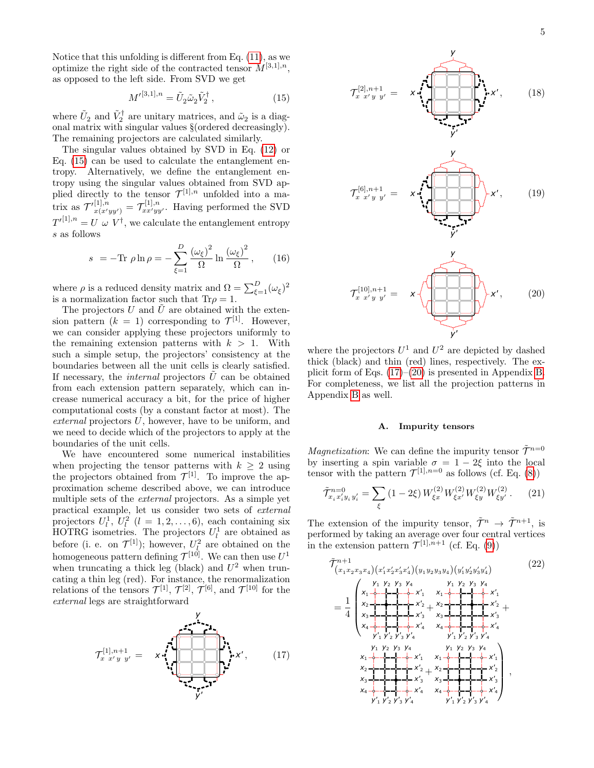Notice that this unfolding is different from Eq. [\(11\)](#page-3-3), as we optimize the right side of the contracted tensor  $M^{[3,1],n}$ , as opposed to the left side. From SVD we get

<span id="page-4-0"></span>
$$
M^{\prime[3,1],n} = \tilde{U}_2 \tilde{\omega}_2 \tilde{V}_2^{\dagger} , \qquad (15)
$$

where  $\tilde{U}_2$  and  $\tilde{V}_2^{\dagger}$  are unitary matrices, and  $\tilde{\omega}_2$  is a diagonal matrix with singular values §(ordered decreasingly). The remaining projectors are calculated similarly.

The singular values obtained by SVD in Eq. [\(12\)](#page-3-4) or Eq. [\(15\)](#page-4-0) can be used to calculate the entanglement entropy. Alternatively, we define the entanglement entropy using the singular values obtained from SVD applied directly to the tensor  $\mathcal{T}^{[1],n}$  unfolded into a matrix as  $\mathcal{T}'^{[1],n}_{x(x'yy')} = \mathcal{T}^{[1],n}_{xx'yy'}$ . Having performed the SVD  $T^{\prime [1],n} = U \omega V^{\dagger}$ , we calculate the entanglement entropy s as follows

<span id="page-4-5"></span>
$$
s = -\text{Tr }\rho \ln \rho = -\sum_{\xi=1}^{D} \frac{(\omega_{\xi})^2}{\Omega} \ln \frac{(\omega_{\xi})^2}{\Omega}, \qquad (16)
$$

where  $\rho$  is a reduced density matrix and  $\Omega = \sum_{\xi=1}^{D} (\omega_{\xi})^2$ is a normalization factor such that  $Tr \rho = 1$ .

The projectors U and  $\tilde{U}$  are obtained with the extension pattern  $(k = 1)$  corresponding to  $\mathcal{T}^{[1]}$ . However, we can consider applying these projectors uniformly to the remaining extension patterns with  $k > 1$ . With such a simple setup, the projectors' consistency at the boundaries between all the unit cells is clearly satisfied. If necessary, the *internal* projectors  $\hat{U}$  can be obtained from each extension pattern separately, which can increase numerical accuracy a bit, for the price of higher computational costs (by a constant factor at most). The external projectors U, however, have to be uniform, and we need to decide which of the projectors to apply at the boundaries of the unit cells.

We have encountered some numerical instabilities when projecting the tensor patterns with  $k \geq 2$  using the projectors obtained from  $\mathcal{T}^{[1]}$ . To improve the approximation scheme described above, we can introduce multiple sets of the external projectors. As a simple yet practical example, let us consider two sets of external projectors  $U_l^1$ ,  $U_l^2$   $(l = 1, 2, ..., 6)$ , each containing six HOTRG isometries. The projectors  $U_l^1$  are obtained as before (i. e. on  $\mathcal{T}^{[1]}$ ); however,  $U_l^2$  are obtained on the homogeneous pattern defining  $\mathcal{T}^{[10]}$ . We can then use  $U^1$ when truncating a thick leg (black) and  $U^2$  when truncating a thin leg (red). For instance, the renormalization relations of the tensors  $\mathcal{T}^{[1]}$ ,  $\mathcal{T}^{[2]}$ ,  $\mathcal{T}^{[6]}$ , and  $\mathcal{T}^{[10]}$  for the external legs are straightforward





where the projectors  $U^1$  and  $U^2$  are depicted by dashed thick (black) and thin (red) lines, respectively. The explicit form of Eqs. [\(17\)](#page-4-1)–[\(20\)](#page-4-2) is presented in Appendix [B.](#page-9-1) For completeness, we list all the projection patterns in Appendix [B](#page-9-1) as well.

#### <span id="page-4-2"></span>A. Impurity tensors

*Magnetization*: We can define the impurity tensor  $\tilde{\mathcal{T}}^{n=0}$ by inserting a spin variable  $\sigma = 1 - 2\xi$  into the local tensor with the pattern  $\mathcal{T}^{[1],n=0}$  as follows (cf. Eq. [\(8\)](#page-2-0))

<span id="page-4-4"></span>
$$
\tilde{\mathcal{T}}_{x_i x_i' y_i y_i'}^{n=0} = \sum_{\xi} (1 - 2\xi) W_{\xi x}^{(2)} W_{\xi x'}^{(2)} W_{\xi y}^{(2)} W_{\xi y'}^{(2)}.
$$
 (21)

The extension of the impurity tensor,  $\tilde{\mathcal{T}}^n \to \tilde{\mathcal{T}}^{n+1}$ , is performed by taking an average over four central vertices in the extension pattern  $\mathcal{T}^{[1],n+1}$  (cf. Eq. [\(9\)](#page-3-1))

<span id="page-4-3"></span><span id="page-4-1"></span>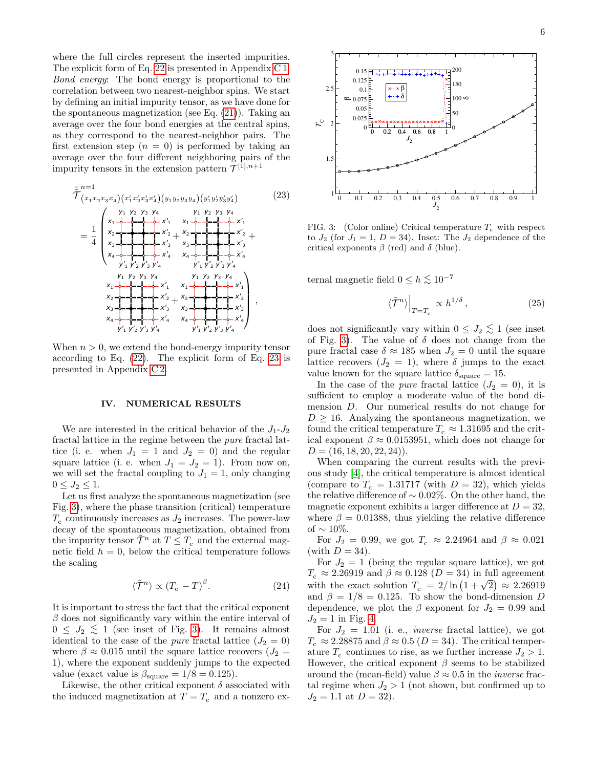where the full circles represent the inserted impurities. The explicit form of Eq. [22](#page-4-3) is presented in Appendix [C 1.](#page-10-0) Bond energy: The bond energy is proportional to the correlation between two nearest-neighbor spins. We start by defining an initial impurity tensor, as we have done for the spontaneous magnetization (see Eq. [\(21\)](#page-4-4)). Taking an average over the four bond energies at the central spins, as they correspond to the nearest-neighbor pairs. The first extension step  $(n = 0)$  is performed by taking an average over the four different neighboring pairs of the impurity tensors in the extension pattern  $\mathcal{T}^{[1],n+1}$ 

<span id="page-5-0"></span>

When  $n > 0$ , we extend the bond-energy impurity tensor according to Eq. [\(22\)](#page-4-3). The explicit form of Eq. [23](#page-5-0) is presented in Appendix [C 2.](#page-11-0)

### IV. NUMERICAL RESULTS

We are interested in the critical behavior of the  $J_1-J_2$ fractal lattice in the regime between the pure fractal lattice (i. e. when  $J_1 = 1$  and  $J_2 = 0$ ) and the regular square lattice (i. e. when  $J_1 = J_2 = 1$ ). From now on, we will set the fractal coupling to  $J_1 = 1$ , only changing  $0 \le J_2 \le 1$ .

Let us first analyze the spontaneous magnetization (see Fig. [3\)](#page-5-1), where the phase transition (critical) temperature  $T_c$  continuously increases as  $J_2$  increases. The power-law decay of the spontaneous magnetization, obtained from the impurity tensor  $\mathcal{T}^n$  at  $T \leq T_c$  and the external magnetic field  $h = 0$ , below the critical temperature follows the scaling

$$
\langle \tilde{\mathcal{T}}^n \rangle \propto (T_c - T)^\beta. \tag{24}
$$

It is important to stress the fact that the critical exponent  $\beta$  does not significantly vary within the entire interval of  $0 \leq J_2 \leq 1$  (see inset of Fig. [3\)](#page-5-1). It remains almost identical to the case of the *pure* fractal lattice  $(J_2 = 0)$ where  $\beta \approx 0.015$  until the square lattice recovers  $(J_2 =$ 1), where the exponent suddenly jumps to the expected value (exact value is  $\beta_{\text{square}} = 1/8 = 0.125$ ).

Likewise, the other critical exponent  $\delta$  associated with the induced magnetization at  $T = T_c$  and a nonzero ex-



<span id="page-5-1"></span>FIG. 3: (Color online) Critical temperature  $T_c$  with respect to  $J_2$  (for  $J_1 = 1$ ,  $D = 34$ ). Inset: The  $J_2$  dependence of the critical exponents  $\beta$  (red) and  $\delta$  (blue).

ternal magnetic field  $0 \leq h \lesssim 10^{-7}$ 

$$
\langle \tilde{\mathcal{T}}^n \rangle \Big|_{T=T_c} \propto h^{1/\delta} \,, \tag{25}
$$

does not significantly vary within  $0 \leq J_2 \lesssim 1$  (see inset of Fig. [3\)](#page-5-1). The value of  $\delta$  does not change from the pure fractal case  $\delta \approx 185$  when  $J_2 = 0$  until the square lattice recovers  $(J_2 = 1)$ , where  $\delta$  jumps to the exact value known for the square lattice  $\delta_{\text{square}} = 15$ .

In the case of the *pure* fractal lattice  $(J_2 = 0)$ , it is sufficient to employ a moderate value of the bond dimension D. Our numerical results do not change for  $D \geq 16$ . Analyzing the spontaneous magnetization, we found the critical temperature  $T_c \approx 1.31695$  and the critical exponent  $\beta \approx 0.0153951$ , which does not change for  $D = (16, 18, 20, 22, 24)$ .

When comparing the current results with the previous study [\[4\]](#page-8-9), the critical temperature is almost identical (compare to  $T_c = 1.31717$  (with  $D = 32$ ), which yields the relative difference of ∼ 0.02%. On the other hand, the magnetic exponent exhibits a larger difference at  $D = 32$ , where  $\beta = 0.01388$ , thus yielding the relative difference of  $\sim 10\%$ .

For  $J_2 = 0.99$ , we got  $T_c \approx 2.24964$  and  $\beta \approx 0.021$ (with  $D = 34$ ).

For  $J_2 = 1$  (being the regular square lattice), we got  $T_c \approx 2.26919$  and  $\beta \approx 0.128$  ( $D = 34$ ) in full agreement  $T_c \approx 2.26919$  and  $\rho \approx 0.128$  ( $D = 34$ ) in full agreement<br>with the exact solution  $T_c = 2/\ln(1 + \sqrt{2}) \approx 2.26919$ and  $\beta = 1/8 = 0.125$ . To show the bond-dimension D dependence, we plot the  $\beta$  exponent for  $J_2 = 0.99$  and  $J_2 = 1$  in Fig. [4.](#page-6-0)

For  $J_2 = 1.01$  (i. e., *inverse* fractal lattice), we got  $T_c \approx 2.28875$  and  $\beta \approx 0.5$  ( $D = 34$ ). The critical temperature  $T_c$  continues to rise, as we further increase  $J_2 > 1$ . However, the critical exponent  $\beta$  seems to be stabilized around the (mean-field) value  $\beta \approx 0.5$  in the *inverse* fractal regime when  $J_2 > 1$  (not shown, but confirmed up to  $J_2 = 1.1$  at  $D = 32$ ).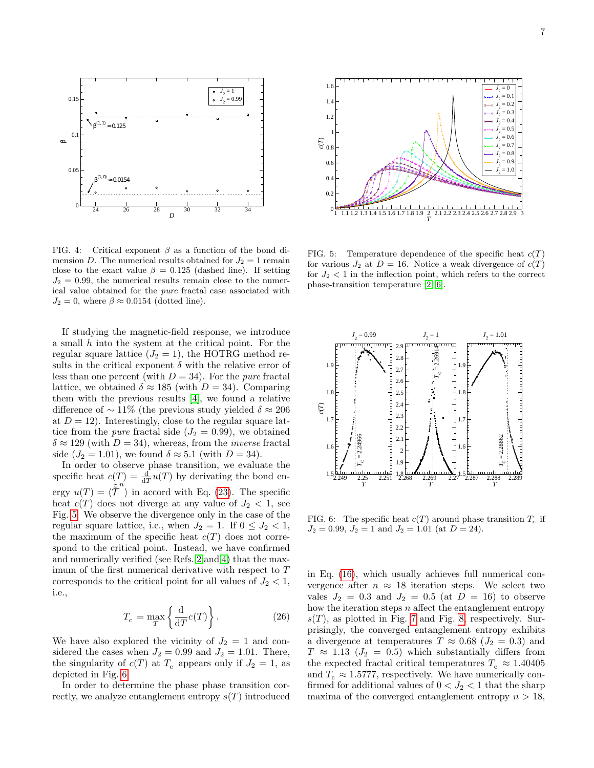

<span id="page-6-0"></span>FIG. 4: Critical exponent  $\beta$  as a function of the bond dimension D. The numerical results obtained for  $J_2 = 1$  remain close to the exact value  $\beta = 0.125$  (dashed line). If setting  $J_2 = 0.99$ , the numerical results remain close to the numerical value obtained for the pure fractal case associated with  $J_2 = 0$ , where  $\beta \approx 0.0154$  (dotted line).

If studying the magnetic-field response, we introduce a small h into the system at the critical point. For the regular square lattice  $(J_2 = 1)$ , the HOTRG method results in the critical exponent  $\delta$  with the relative error of less than one percent (with  $D = 34$ ). For the *pure* fractal lattice, we obtained  $\delta \approx 185$  (with  $D = 34$ ). Comparing them with the previous results [\[4\]](#page-8-9), we found a relative difference of  $\sim 11\%$  (the previous study yielded  $\delta \approx 206$ at  $D = 12$ ). Interestingly, close to the regular square lattice from the *pure* fractal side  $(J_2 = 0.99)$ , we obtained  $\delta \approx 129$  (with  $D = 34$ ), whereas, from the *inverse* fractal side ( $J_2 = 1.01$ ), we found  $\delta \approx 5.1$  (with  $D = 34$ ).

In order to observe phase transition, we evaluate the specific heat  $c(T) = \frac{d}{dT}u(T)$  by derivating the bond energy  $u(T) = \langle \tilde{\tilde{T}}^n \rangle$  in accord with Eq. [\(23\)](#page-5-0). The specific heat  $c(T)$  does not diverge at any value of  $J_2 < 1$ , see Fig. [5.](#page-6-1) We observe the divergence only in the case of the regular square lattice, i.e., when  $J_2 = 1$ . If  $0 \leq J_2 < 1$ , the maximum of the specific heat  $c(T)$  does not correspond to the critical point. Instead, we have confirmed and numerically verified (see Refs. [2](#page-8-8) and [4\)](#page-8-9) that the maximum of the first numerical derivative with respect to T corresponds to the critical point for all values of  $J_2 < 1$ , i.e.,

$$
T_{\rm c} = \max_{T} \left\{ \frac{\mathrm{d}}{\mathrm{d}T} c(T) \right\}.
$$
 (26)

We have also explored the vicinity of  $J_2 = 1$  and considered the cases when  $J_2 = 0.99$  and  $J_2 = 1.01$ . There, the singularity of  $c(T)$  at  $T_c$  appears only if  $J_2 = 1$ , as depicted in Fig. [6.](#page-6-2)

In order to determine the phase phase transition cor-



<span id="page-6-1"></span>FIG. 5: Temperature dependence of the specific heat  $c(T)$ for various  $J_2$  at  $D = 16$ . Notice a weak divergence of  $c(T)$ for  $J_2 < 1$  in the inflection point, which refers to the correct phase-transition temperature [\[2,](#page-8-8) [6\]](#page-8-11).



<span id="page-6-2"></span>FIG. 6: The specific heat  $c(T)$  around phase transition  $T_c$  if  $J_2 = 0.99, J_2 = 1$  and  $J_2 = 1.01$  (at  $D = 24$ ).

in Eq. [\(16\)](#page-4-5), which usually achieves full numerical convergence after  $n \approx 18$  iteration steps. We select two vales  $J_2 = 0.3$  and  $J_2 = 0.5$  (at  $D = 16$ ) to observe how the iteration steps  $n$  affect the entanglement entropy  $s(T)$ , as plotted in Fig. [7](#page-7-0) and Fig. [8,](#page-7-1) respectively. Surprisingly, the converged entanglement entropy exhibits a divergence at temperatures  $T \approx 0.68$  ( $J_2 = 0.3$ ) and  $T \approx 1.13$  ( $J_2 = 0.5$ ) which substantially differs from the expected fractal critical temperatures  $T_c \approx 1.40405$ and  $T_c \approx 1.5777$ , respectively. We have numerically confirmed for additional values of  $0 < J_2 < 1$  that the sharp maxima of the converged entanglement entropy  $n > 18$ ,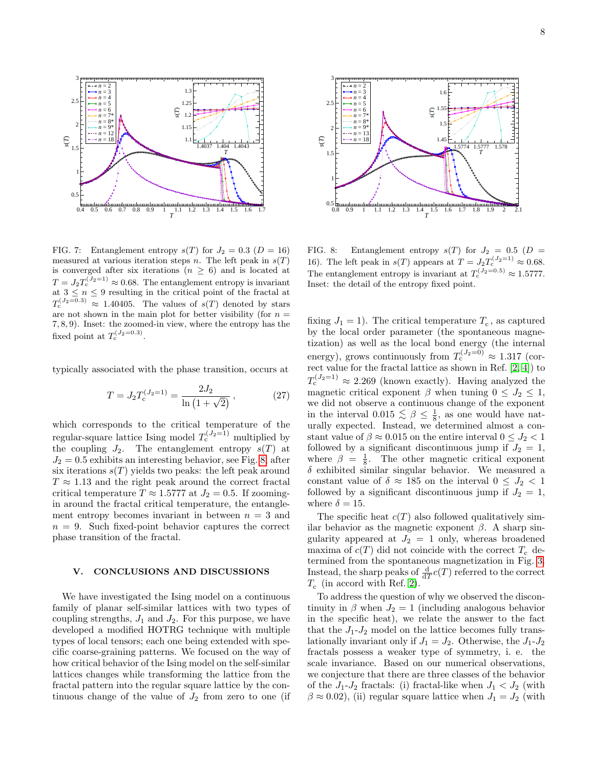

<span id="page-7-0"></span>FIG. 7: Entanglement entropy  $s(T)$  for  $J_2 = 0.3$  ( $D = 16$ ) measured at various iteration steps n. The left peak in  $s(T)$ is converged after six iterations ( $n \geq 6$ ) and is located at  $T = J_2 T_c^{(J_2=1)} \approx 0.68$ . The entanglement entropy is invariant at  $3 \leq n \leq 9$  resulting in the critical point of the fractal at  $T_c^{(J_2=0.3)} \approx 1.40405$ . The values of  $s(T)$  denoted by stars are not shown in the main plot for better visibility (for  $n =$ 7, 8, 9). Inset: the zoomed-in view, where the entropy has the fixed point at  $T_c^{(J_2=0.3)}$ .

typically associated with the phase transition, occurs at

<span id="page-7-2"></span>
$$
T = J_2 T_c^{(J_2 = 1)} = \frac{2J_2}{\ln(1 + \sqrt{2})},\tag{27}
$$

which corresponds to the critical temperature of the regular-square lattice Ising model  $T_c^{(J_2=1)}$  multiplied by the coupling  $J_2$ . The entanglement entropy  $s(T)$  at  $J_2 = 0.5$  exhibits an interesting behavior, see Fig. [8,](#page-7-1) after six iterations  $s(T)$  yields two peaks: the left peak around  $T \approx 1.13$  and the right peak around the correct fractal critical temperature  $T \approx 1.5777$  at  $J_2 = 0.5$ . If zoomingin around the fractal critical temperature, the entanglement entropy becomes invariant in between  $n = 3$  and  $n = 9$ . Such fixed-point behavior captures the correct phase transition of the fractal.

## V. CONCLUSIONS AND DISCUSSIONS

We have investigated the Ising model on a continuous family of planar self-similar lattices with two types of coupling strengths,  $J_1$  and  $J_2$ . For this purpose, we have developed a modified HOTRG technique with multiple types of local tensors; each one being extended with specific coarse-graining patterns. We focused on the way of how critical behavior of the Ising model on the self-similar lattices changes while transforming the lattice from the fractal pattern into the regular square lattice by the con-



<span id="page-7-1"></span>FIG. 8: Entanglement entropy  $s(T)$  for  $J_2 = 0.5$  ( $D =$ 16). The left peak in  $s(T)$  appears at  $T = J_2 T_c^{(J_2=1)} \approx 0.68$ . The entanglement entropy is invariant at  $T_c^{(J_2=0.5)} \approx 1.5777$ . Inset: the detail of the entropy fixed point.

FIG. 7: Examplement entropy  $\eta(1)$  for  $J = 1.3$  is the value of  $J = 1.6$ . Examplement entropy  $\eta(1)$  for  $J = 0.5$  and  $J = 2.72$  for  $J = 0.5$  and  $J = 2.72$  for  $J = 0.5$  and  $J = 2.72$  for  $J = 2.72$  is the value of  $J = 1.6$ fixing  $J_1 = 1$ ). The critical temperature  $T_c$ , as captured by the local order parameter (the spontaneous magnetization) as well as the local bond energy (the internal energy), grows continuously from  $T_c^{(J_2=0)} \approx 1.317$  (correct value for the fractal lattice as shown in Ref.  $[2, 4]$  $[2, 4]$ ) to  $T_c^{(J_2=1)} \approx 2.269$  (known exactly). Having analyzed the magnetic critical exponent  $\beta$  when tuning  $0 \leq J_2 \leq 1$ , we did not observe a continuous change of the exponent in the interval  $0.015 \lesssim \beta \leq \frac{1}{8}$ , as one would have naturally expected. Instead, we determined almost a constant value of  $\beta \approx 0.015$  on the entire interval  $0 \leq J_2 < 1$ followed by a significant discontinuous jump if  $J_2 = 1$ , where  $\beta = \frac{1}{8}$ . The other magnetic critical exponent  $\delta$  exhibited similar singular behavior. We measured a constant value of  $\delta \approx 185$  on the interval  $0 \leq J_2 < 1$ followed by a significant discontinuous jump if  $J_2 = 1$ , where  $\delta = 15$ .

The specific heat  $c(T)$  also followed qualitatively similar behavior as the magnetic exponent  $\beta$ . A sharp singularity appeared at  $J_2 = 1$  only, whereas broadened maxima of  $c(T)$  did not coincide with the correct  $T_c$  determined from the spontaneous magnetization in Fig. [3.](#page-5-1) Instead, the sharp peaks of  $\frac{d}{dT}c(T)$  referred to the correct  $T_c$  (in accord with Ref. [2\)](#page-8-8).

To address the question of why we observed the discontinuity in  $\beta$  when  $J_2 = 1$  (including analogous behavior in the specific heat), we relate the answer to the fact that the  $J_1-J_2$  model on the lattice becomes fully translationally invariant only if  $J_1 = J_2$ . Otherwise, the  $J_1-J_2$ fractals possess a weaker type of symmetry, i. e. the scale invariance. Based on our numerical observations, we conjecture that there are three classes of the behavior of the  $J_1-J_2$  fractals: (i) fractal-like when  $J_1 < J_2$  (with  $\beta \approx 0.02$ , (ii) regular square lattice when  $J_1 = J_2$  (with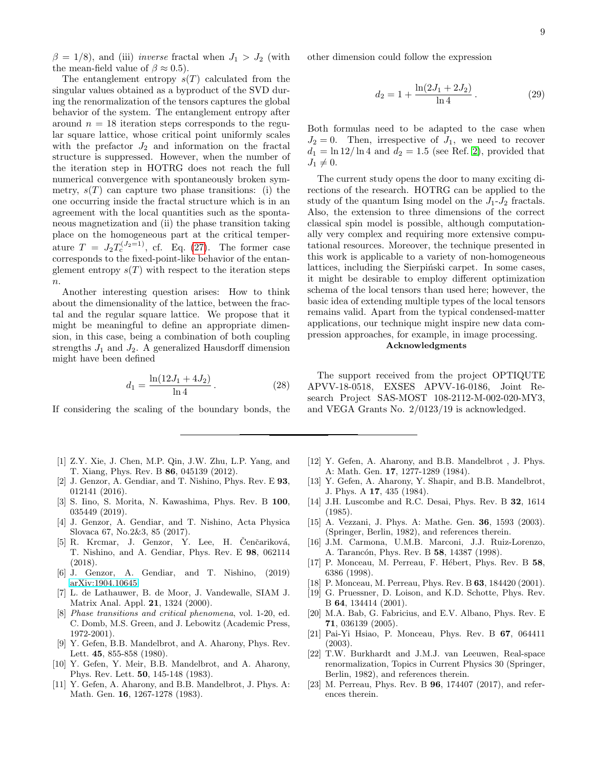$\beta = 1/8$ ), and (iii) *inverse* fractal when  $J_1 > J_2$  (with the mean-field value of  $\beta \approx 0.5$ ).

The entanglement entropy  $s(T)$  calculated from the singular values obtained as a byproduct of the SVD during the renormalization of the tensors captures the global behavior of the system. The entanglement entropy after around  $n = 18$  iteration steps corresponds to the regular square lattice, whose critical point uniformly scales with the prefactor  $J_2$  and information on the fractal structure is suppressed. However, when the number of the iteration step in HOTRG does not reach the full numerical convergence with spontaneously broken symmetry,  $s(T)$  can capture two phase transitions: (i) the one occurring inside the fractal structure which is in an agreement with the local quantities such as the spontaneous magnetization and (ii) the phase transition taking place on the homogeneous part at the critical temperature  $T = J_2 T_c^{(J_2=1)}$ , cf. Eq. [\(27\)](#page-7-2). The former case corresponds to the fixed-point-like behavior of the entanglement entropy  $s(T)$  with respect to the iteration steps  $\overline{n}$ .

Another interesting question arises: How to think about the dimensionality of the lattice, between the fractal and the regular square lattice. We propose that it might be meaningful to define an appropriate dimension, in this case, being a combination of both coupling strengths  $J_1$  and  $J_2$ . A generalized Hausdorff dimension might have been defined

$$
d_1 = \frac{\ln(12J_1 + 4J_2)}{\ln 4}.
$$
 (28)

If considering the scaling of the boundary bonds, the

- <span id="page-8-12"></span>[1] Z.Y. Xie, J. Chen, M.P. Qin, J.W. Zhu, L.P. Yang, and T. Xiang, Phys. Rev. B 86, 045139 (2012).
- <span id="page-8-8"></span>[2] J. Genzor, A. Gendiar, and T. Nishino, Phys. Rev. E 93, 012141 (2016).
- [3] S. Iino, S. Morita, N. Kawashima, Phys. Rev. B 100, 035449 (2019).
- <span id="page-8-9"></span>[4] J. Genzor, A. Gendiar, and T. Nishino, Acta Physica Slovaca 67, No.2&3, 85 (2017).
- <span id="page-8-10"></span>[5] R. Krcmar, J. Genzor, Y. Lee, H. Čenčariková, T. Nishino, and A. Gendiar, Phys. Rev. E 98, 062114 (2018).
- <span id="page-8-11"></span>[6] J. Genzor, A. Gendiar, and T. Nishino, (2019) [arXiv:1904.10645.](http://arxiv.org/abs/1904.10645)
- <span id="page-8-13"></span>[7] L. de Lathauwer, B. de Moor, J. Vandewalle, SIAM J. Matrix Anal. Appl. 21, 1324 (2000).
- [8] Phase transitions and critical phenomena, vol. 1-20, ed. C. Domb, M.S. Green, and J. Lebowitz (Academic Press, 1972-2001).
- <span id="page-8-1"></span>[9] Y. Gefen, B.B. Mandelbrot, and A. Aharony, Phys. Rev. Lett. 45, 855-858 (1980).
- [10] Y. Gefen, Y. Meir, B.B. Mandelbrot, and A. Aharony, Phys. Rev. Lett. 50, 145-148 (1983).
- [11] Y. Gefen, A. Aharony, and B.B. Mandelbrot, J. Phys. A: Math. Gen. 16, 1267-1278 (1983).

other dimension could follow the expression

$$
d_2 = 1 + \frac{\ln(2J_1 + 2J_2)}{\ln 4}.
$$
 (29)

Both formulas need to be adapted to the case when  $J_2 = 0$ . Then, irrespective of  $J_1$ , we need to recover  $d_1 = \ln 12 / \ln 4$  and  $d_2 = 1.5$  (see Ref. [2\)](#page-8-8), provided that  $J_1 \neq 0.$ 

The current study opens the door to many exciting directions of the research. HOTRG can be applied to the study of the quantum Ising model on the  $J_1-J_2$  fractals. Also, the extension to three dimensions of the correct classical spin model is possible, although computationally very complex and requiring more extensive computational resources. Moreover, the technique presented in this work is applicable to a variety of non-homogeneous lattices, including the Sierpinski carpet. In some cases, it might be desirable to employ different optimization schema of the local tensors than used here; however, the basic idea of extending multiple types of the local tensors remains valid. Apart from the typical condensed-matter applications, our technique might inspire new data compression approaches, for example, in image processing.

#### Acknowledgments

The support received from the project OPTIQUTE APVV-18-0518, EXSES APVV-16-0186, Joint Research Project SAS-MOST 108-2112-M-002-020-MY3, and VEGA Grants No. 2/0123/19 is acknowledged.

- <span id="page-8-2"></span>[12] Y. Gefen, A. Aharony, and B.B. Mandelbrot, J. Phys. A: Math. Gen. 17, 1277-1289 (1984).
- <span id="page-8-3"></span>[13] Y. Gefen, A. Aharony, Y. Shapir, and B.B. Mandelbrot, J. Phys. A 17, 435 (1984).
- <span id="page-8-0"></span>[14] J.H. Luscombe and R.C. Desai, Phys. Rev. B 32, 1614 (1985).
- <span id="page-8-4"></span>[15] A. Vezzani, J. Phys. A: Mathe. Gen. 36, 1593 (2003). (Springer, Berlin, 1982), and references therein.
- <span id="page-8-5"></span>[16] J.M. Carmona, U.M.B. Marconi, J.J. Ruiz-Lorenzo, A. Tarancón, Phys. Rev. B 58, 14387 (1998).
- [17] P. Monceau, M. Perreau, F. Hébert, Phys. Rev. B 58, 6386 (1998).
- [18] P. Monceau, M. Perreau, Phys. Rev. B 63, 184420 (2001).
- [19] G. Pruessner, D. Loison, and K.D. Schotte, Phys. Rev. B 64, 134414 (2001).
- <span id="page-8-6"></span>[20] M.A. Bab, G. Fabricius, and E.V. Albano, Phys. Rev. E 71, 036139 (2005).
- <span id="page-8-7"></span>[21] Pai-Yi Hsiao, P. Monceau, Phys. Rev. B 67, 064411 (2003).
- [22] T.W. Burkhardt and J.M.J. van Leeuwen, Real-space renormalization, Topics in Current Physics 30 (Springer, Berlin, 1982), and references therein.
- [23] M. Perreau, Phys. Rev. B **96**, 174407 (2017), and references therein.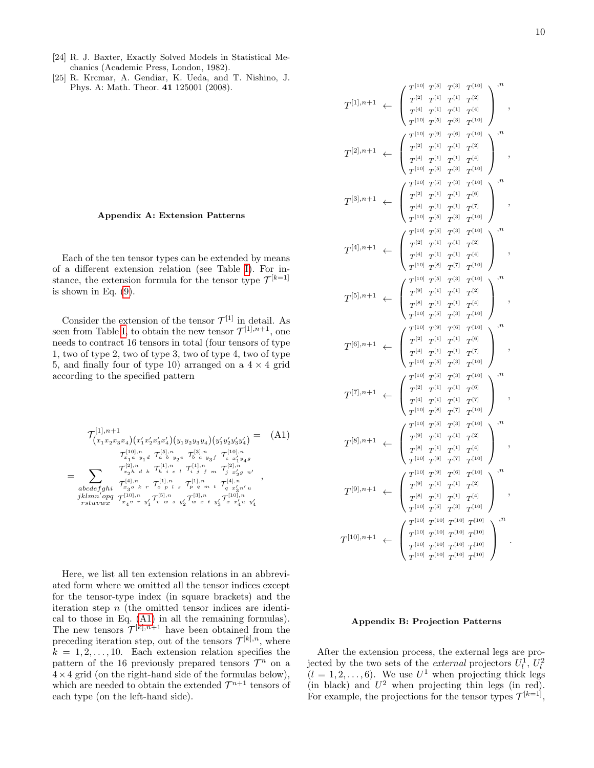- [24] R. J. Baxter, Exactly Solved Models in Statistical Mechanics (Academic Press, London, 1982).
- [25] R. Krcmar, A. Gendiar, K. Ueda, and T. Nishino, J. Phys. A: Math. Theor. 41 125001 (2008).

#### <span id="page-9-0"></span>Appendix A: Extension Patterns

Each of the ten tensor types can be extended by means of a different extension relation (see Table [I\)](#page-3-0). For instance, the extension formula for the tensor type  $\mathcal{T}^{[k=1]}$ is shown in Eq.  $(9)$ .

Consider the extension of the tensor  $\mathcal{T}^{[1]}$  in detail. As seen from Table [I,](#page-3-0) to obtain the new tensor  $\mathcal{T}^{[1],n+1}$ , one needs to contract 16 tensors in total (four tensors of type 1, two of type 2, two of type 3, two of type 4, two of type 5, and finally four of type 10) arranged on a  $4 \times 4$  grid according to the specified pattern

<span id="page-9-2"></span>
$$
\mathcal{T}_{(x_1x_2x_3x_4)(x'_1x'_2x'_3x'_4)(y_1y_2y_3y_4)(y'_1y'_2y'_3y'_4)} = (A1)
$$
\n
$$
\mathcal{T}_{x_1a y_1d}^{[10],n} \mathcal{T}_{a b y_2e}^{[5],n} \mathcal{T}_{b c y_3f}^{[3],n} \mathcal{T}_{c x'_1y_4g}^{[10],n}
$$
\n
$$
= \sum_{\substack{\text{abcdefghi} \ \text{r}_{x_2b}^{[2],n} \text{d} \ k}} \mathcal{T}_{x_3b k}^{[1],n} \mathcal{T}_{(x_1b,n}^{[1],n} \mathcal{T}_{(x_1b,n}^{[1],n} \mathcal{T}_{(x_2b n}^{[2],n})}
$$
\n
$$
\mathcal{T}_{x_3b k}^{[2],n} \mathcal{T}_{(x_1b,n}^{[1],n} \mathcal{T}_{(x_1b,n}^{[1],n} \mathcal{T}_{(x_1b,n}^{[1],n} \mathcal{T}_{(x_1b n}^{[1],n})},
$$
\n
$$
\mathcal{T}_{x_4v}^{[10],n} \mathcal{T}_{x_4v}^{[5],n} \mathcal{T}_{v w s y'_2}^{[5],n} \mathcal{T}_{w x t y'_3}^{[10],n} \mathcal{T}_{x_4u y'_4}^{[10],n}
$$

Here, we list all ten extension relations in an abbreviated form where we omitted all the tensor indices except for the tensor-type index (in square brackets) and the iteration step  $n$  (the omitted tensor indices are identical to those in Eq. [\(A1\)](#page-9-2) in all the remaining formulas). The new tensors  $\mathcal{T}^{[k],n+1}$  have been obtained from the preceding iteration step, out of the tensors  $\mathcal{T}^{[k],n}$ , where  $k = 1, 2, \ldots, 10$ . Each extension relation specifies the pattern of the 16 previously prepared tensors  $\mathcal{T}^n$  on a  $4 \times 4$  grid (on the right-hand side of the formulas below), which are needed to obtain the extended  $\mathcal{T}^{n+1}$  tensors of each type (on the left-hand side).

$$
T^{[1],n+1} \leftarrow \begin{pmatrix} T^{[10]} & T^{[10]} & T^{[11]} & T^{[11]} \\ T^{[10]} & T^{[11]} & T^{[11]} & T^{[11]} \\ T^{[10]} & T^{[10]} & T^{[10]} & T^{[10]} \\ T^{[10]} & T^{[10]} & T^{[10]} & T^{[10]} \end{pmatrix}^{n},
$$
\n
$$
T^{[2],n+1} \leftarrow \begin{pmatrix} T^{[10]} & T^{[10]} & T^{[10]} & T^{[10]} \\ T^{[10]} & T^{[11]} & T^{[11]} & T^{[11]} \\ T^{[10]} & T^{[11]} & T^{[11]} & T^{[11]} \\ T^{[10]} & T^{[10]} & T^{[10]} \end{pmatrix}^{n},
$$
\n
$$
T^{[3],n+1} \leftarrow \begin{pmatrix} T^{[10]} & T^{[11]} & T^{[11]} & T^{[10]} \\ T^{[10]} & T^{[11]} & T^{[11]} & T^{[10]} \\ T^{[10]} & T^{[11]} & T^{[11]} & T^{[10]} \\ T^{[10]} & T^{[11]} & T^{[11]} & T^{[10]} \\ T^{[10]} & T^{[11]} & T^{[11]} & T^{[11]} \\ T^{[10]} & T^{[11]} & T^{[11]} & T^{[11]} \\ T^{[10]} & T^{[11]} & T^{[11]} & T^{[11]} \\ T^{[10]} & T^{[11]} & T^{[11]} & T^{[11]} \\ T^{[10]} & T^{[11]} & T^{[11]} & T^{[11]} \\ T^{[10]} & T^{[11]} & T^{[11]} & T^{[11]} \\ T^{[10]} & T^{[11]} & T^{[11]} & T^{[11]} \\ T^{[10]} & T^{[11]} & T^{[11]} & T^{[11]} \\ T^{[10]} & T^{[11]} & T^{[11]} & T^{[11]} \\ T^{[10]} & T^{[11]} & T^{[11]} & T^{[11]} \\ T^{[10]} & T^{[11]} & T^{[11]} & T^{[11]} \\ T^{[10]} & T^{[11]} & T^{[11]} & T^{[11]} \\ T^{[1
$$

## <span id="page-9-1"></span>Appendix B: Projection Patterns

After the extension process, the external legs are projected by the two sets of the *external* projectors  $U_l^1, U_l^2$  $(l = 1, 2, \ldots, 6)$ . We use  $U^1$  when projecting thick legs (in black) and  $U^2$  when projecting thin legs (in red). For example, the projections for the tensor types  $\mathcal{T}^{[k=1]}$ ,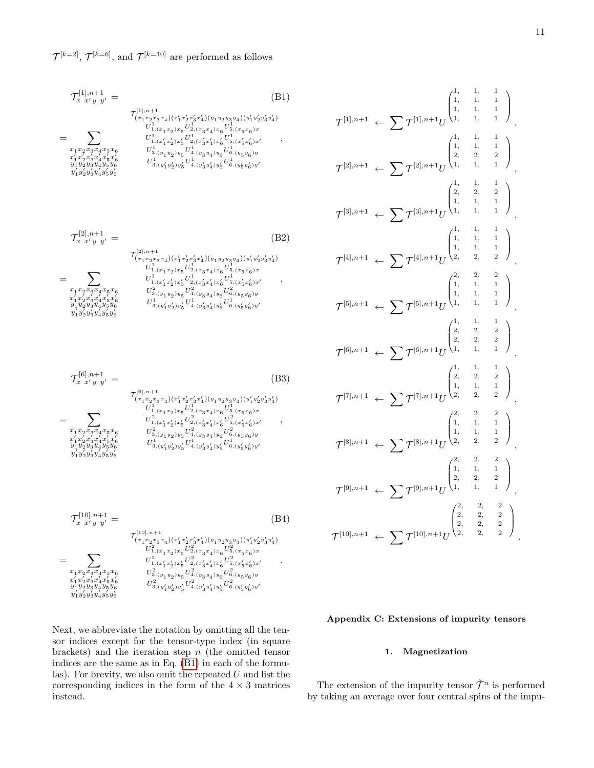$\mathcal{T}^{[k=2]}$ ,  $\mathcal{T}^{[k=6]}$ , and  $\mathcal{T}^{[k=10]}$  are performed as follows

<span id="page-10-1"></span>
$$
\mathcal{T}_{x}^{[1],n+1} = \qquad (B1)
$$
\n
$$
\mathcal{T}_{x}^{[1],n+1} = \qquad (B1)
$$
\n
$$
\mathcal{T}_{(x_1 x_2 x_3 x_4)(x'_1 x'_2 x'_3 x'_4)(y_1 y_2 y_3 y_4)(y'_1 y'_2 y'_3 y'_4)}
$$
\n
$$
= \sum_{\substack{x_1 x_2 x_3 x_4 x_5 x_6 \ x'_1 x'_2 x'_3 x'_4 \ y'_1 x'_2 x'_3 x'_4}} \qquad \frac{U_{1,(x'_1 x'_2)x'_5}^{11} U_{2,(x'_3 x'_4)x'_6}^{11} U_{5,(x'_5 x'_6)x'_7}}{U_{3,(y_1 y_2)y_5}^{11} U_{4,(y_3 y_4)y_6}^{11} U_{6,(y_5 y_6)y}^{11}}
$$
\n
$$
\frac{y_1 y_2 y_3 y_4 y_5 y_6}{y_1 y'_2 y'_3 y'_4 y'_5 y'_6} \qquad \frac{U_{3,(y'_1 y'_2)y'_5}^{11} U_{4,(y'_3 y'_4)y'_6}^{11} U_{6,(y'_5 y'_6)y'_7}}{U_{3,(y'_1 y'_2)y'_5}^{11} U_{4,(y'_3 y'_4)y'_6}^{11} U_{6,(y'_5 y'_6)y'_7}}
$$
\n(B1)

$$
\mathcal{T}_{x}^{[2],n+1} = (B2)
$$
\n
$$
\tau_{x'y}^{[2],n+1} = \tau_{(x_1 x_2 x_3 x_4)(x'_1 x'_2 x'_3 x'_4)(y_1 y_2 y_3 y_4)(y'_1 y'_2 y'_3 y'_4)}
$$
\n
$$
= \sum_{x_1 x_2 x_3 x_4 x_5 x_6} U_{1,(x_1 x_2) x_5}^{1, (x_1 x_2 x_3 x_4) x_6 U_{5,(x_5 x_6)x}^{1, (x_5 x_6)x}}
$$
\n
$$
= \tau_{x'_1 x'_2 x'_3 x'_4 x'_5 x'_6} U_{3,(y_1 y_2) y_5}^{2, (y_2 x'_3 x'_4) x'_6 U_{5,(x'_5 x'_6)x'}^{1, (y'_3 x'_4) x'_6 U_{5,(y'_5 y_6)y'}} y'_1 y'_2 y'_3 y'_4 y'_5 y'_6
$$
\n
$$
= \tau_{x'_1 x'_2 x'_3 x'_4 x'_5 x'_6} U_{3,(y'_1 y'_2) y'_5}^{1, (y'_2 y'_6 U'_{4,(y'_3 y'_4) y'_6 U'_{6,(y'_5 y'_6)y'}} y'_1 y'_2 y'_3 y'_4 y'_5 y'_6
$$
\n
$$
(B2)
$$

$$
\mathcal{T}_{x}^{[6],n+1} = (B3)
$$
\n
$$
= \sum_{\substack{x_1, x_2, x_3, x_4 \in \mathcal{F}_6 \\ x_1^2 \leq x_3^2 x_4 \leq x_5^2 x_6}} \frac{\mathcal{T}_{(x_1, x_2, x_3, x_4)(x_1, x_2^2, x_3^2, x_4)(x_1^2, x_2^2, x_3^2, x_4^2)}}{\mathcal{U}_{1, (x_1, x_2^2, x_5^2)}^2 \mathcal{U}_{2, (x_3, x_4)^2 \in \mathcal{G}_6(x_5^2, x_6^2)}} \mathcal{U}_{3, (x_1, x_1^2, x_2^2, x_3^2, x_4^2, x_6^2)}^2 \mathcal{U}_{3, (x_1^2, x_2^2, x_4^2, x_6^2)}^2 \mathcal{U}_{3, (x_1^2, x_2^2, x_4^2, x_6^2)}^2 \mathcal{U}_{3, (x_1^2, x_2^2, x_4^2, x_6^2)}^2 \mathcal{U}_{3, (x_1^2, x_2^2, x_4^2, x_6^2)}^2 \mathcal{U}_{3, (x_1^2, x_2^2, x_4^2, x_6^2)}^2 \mathcal{U}_{3, (x_1^2, x_2^2, x_4^2, x_6^2)}^2 \mathcal{U}_{3, (x_1^2, x_2^2, x_4^2, x_6^2)}^2 \mathcal{U}_{3, (x_1^2, x_2^2, x_4^2, x_6^2)}^2 \mathcal{U}_{3, (x_1^2, x_2^2, x_4^2, x_6^2)}^2 \mathcal{U}_{3, (x_1^2, x_2^2, x_4^2, x_6^2)}^2 \mathcal{U}_{3, (x_1^2, x_2^2, x_4^2, x_6^2)}^2 \mathcal{U}_{3, (x_1^2, x_2^2, x_4^2, x_6^2)}^2 \mathcal{U}_{3, (x_1^2, x_2^2, x_4^2, x_6^2)}^2 \mathcal{U}_{3, (x_1^2, x_2^2, x_4^2, x_6^2)}^2 \math
$$

 ${\cal T}_{r}^{[10],n+1}$  $x x' y y' =$  (B4) =  $\sum$  $x_1x_2x_3x_4x_5x_6$ x  $\overline{\phantom{a}}$  $\frac{x_1' x_2' x_3' x_4' x_5' x_6'}{y_1 y_2 y_3 y_4 y_5 y_6}$ 7 ĭ ï ĭ ĭ  $y_1^{\bar\jmath}y_2^{\bar\jmath}y_3^{\bar\jmath}y_4^{\bar\jmath}y_5^{\bar\jmath}y_6^{\bar\jmath}$  $\mathcal{T}^{[10],n+1}_{\left(x_1x_2x_3x_4\right)\left(x'_1x'_2x'_3x'_4\right)\left(y_1y_2y_3y_4\right)\left(y'_1y'_2y'_3y'_4\right)}$  $U^2_{1,(x_1x_2)x_5}U^2_{2,(x_3x_4)x_6}U^2_{5,(x_5x_6)x}$  $U^2_{1,(x_1'x_2')x_5'}U^2_{2,(x_3'x_4')x_6'}U^2_{5,(x_5'x_6')x'}$  $U_{3,(y_1y_2)y_5}^2U_{4,(y_3y_4)y_6}^2U_{6,(y_5y_6)y_5}^2$  $U^2_{3,(y_1^{\prime}y_2^{\prime})y_5^{\prime}}U^2_{4,(y_3^{\prime}y_4^{\prime})y_6^{\prime}}U^2_{6,(y_5^{\prime}y_6^{\prime})y^{\prime}}$ .

Next, we abbreviate the notation by omitting all the tensor indices except for the tensor-type index (in square brackets) and the iteration step  $n$  (the omitted tensor indices are the same as in Eq. [\(B1\)](#page-10-1) in each of the formulas). For brevity, we also omit the repeated  $U$  and list the corresponding indices in the form of the  $4 \times 3$  matrices instead.

$$
\mathcal{T}^{[1],n+1} \leftarrow \sum \mathcal{T}^{[1],n+1} U^{\begin{pmatrix} 1, & 1, & 1 \\ 1, & 1, & 1 \\ 1, & 1, & 1 \\ 1, & 1, & 1 \\ 2, & 2, & 2 \\ 1, & 1, & 1 \end{pmatrix}}_{1,\quad 1,\quad 1} \right),
$$
\n
$$
\mathcal{T}^{[2],n+1} \leftarrow \sum \mathcal{T}^{[2],n+1} U^{\begin{pmatrix} 1, & 1, & 1 \\ 1, & 1, & 1 \\ 2, & 2, & 2 \\ 1, & 1, & 1 \\ 1, & 1, & 1 \end{pmatrix}}_{1,\quad 1,\quad 1} \right),
$$
\n
$$
\mathcal{T}^{[3],n+1} \leftarrow \sum \mathcal{T}^{[3],n+1} U^{\begin{pmatrix} 1, & 1, & 1 \\ 2, & 2, & 2 \\ 1, & 1, & 1 \\ 1, & 1, & 1 \\ 2, & 2, & 2 \end{pmatrix}}_{1,\quad 1,\quad 1} \right),
$$
\n
$$
\mathcal{T}^{[5],n+1} \leftarrow \sum \mathcal{T}^{[5],n+1} U^{\begin{pmatrix} 1, & 1, & 1 \\ 1, & 1, & 1 \\ 1, & 1, & 1 \\ 1, & 1, & 1 \end{pmatrix}}_{1,\quad 1,\quad 1} \right),
$$
\n
$$
\mathcal{T}^{[6],n+1} \leftarrow \sum \mathcal{T}^{[6],n+1} U^{\begin{pmatrix} 1, & 1, & 1 \\ 1, & 1, & 1 \\ 2, & 2, & 2 \\ 2, & 2, & 2 \\ 1, & 1, & 1 \end{pmatrix}}_{1,\quad 1,\quad 1} \right),
$$
\n
$$
\mathcal{T}^{[7],n+1} \leftarrow \sum \mathcal{T}^{[7],n+1} U^{\begin{pmatrix} 1, & 1, & 1 \\ 2, & 2, & 2 \\ 1, & 1, & 1 \\ 1, & 1, & 1 \end{pmatrix}}_{1,\quad 1,\quad 1} \right),
$$
\n
$$
\mathcal{T}^{[8],n+1} \leftarrow \sum \mathcal{T}^{[8],n+1} U^{\begin{pmatrix}
$$

# Appendix C: Extensions of impurity tensors

## <span id="page-10-0"></span>1. Magnetization

The extension of the impurity tensor  $\tilde{\mathcal{T}}^n$  is performed by taking an average over four central spins of the impu